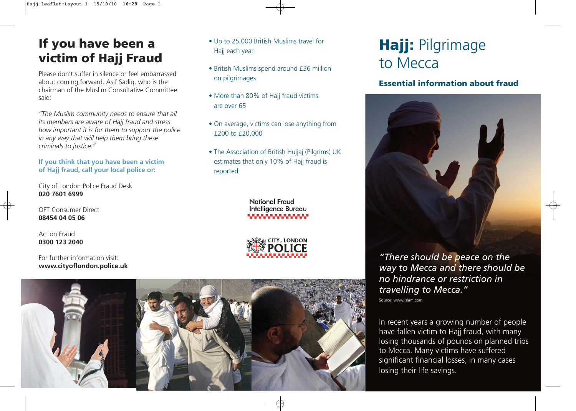### **If you have been a victim of Hajj Fraud**

Please don't suffer in silence or feel embarrassed about coming forward. Asif Sadiq, who is the chairman of the Muslim Consultative Committee said:

*"The Muslim community needs to ensure that all its members are aware of Hajj fraud and stress how important it is for them to support the police in any way that will help them bring these criminals to justice."*

#### **If you think that you have been a victim of Hajj fraud, call your local police or:**

City of London Police Fraud Desk **020 7601 6999**

OFT Consumer Direct **08454 04 05 06**

Action Fraud **0300 123 2040**

For further information visit: **www.cityoflondon.police.uk**

- Up to 25,000 British Muslims travel for Hajj each year
- British Muslims spend around £36 million on pilgrimages
- More than 80% of Hajj fraud victims are over 65
- On average, victims can lose anything from £200 to £20,000
- The Association of British Hujjaj (Pilgrims) UK estimates that only 10% of Hajj fraud is reported

National Fraud Intelligence Bureau



# **Hajj:** Pilgrimage to Mecca

### **Essential information about fraud**



*"There should be peace on the way to Mecca and there should be no hindrance or restriction in travelling to Mecca."* 

Source: www.islam.com

In recent years a growing number of people have fallen victim to Hajj fraud, with many losing thousands of pounds on planned trips to Mecca. Many victims have suffered significant financial losses, in many cases losing their life savings.